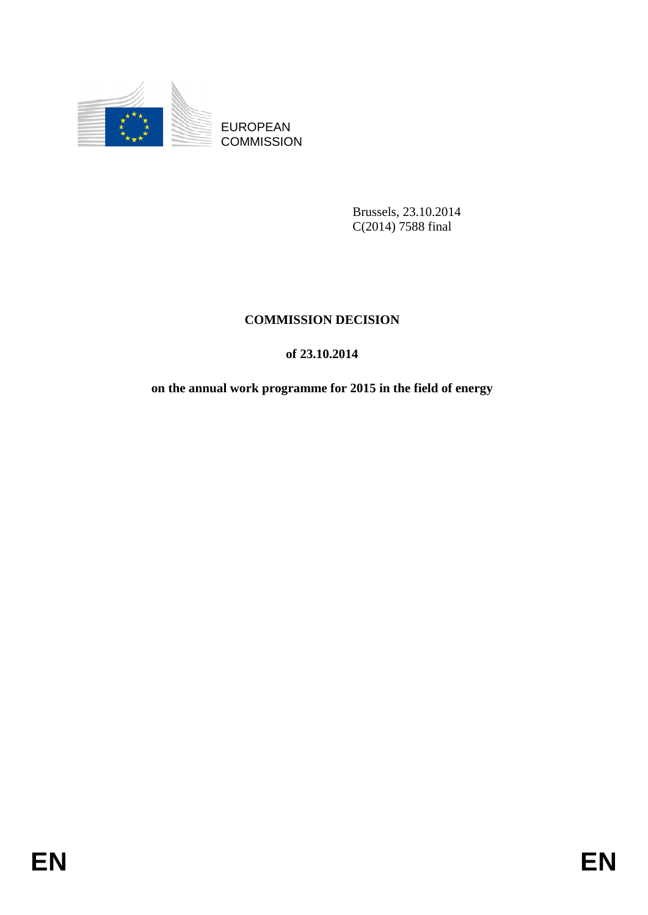

EUROPEAN **COMMISSION** 

> Brussels, 23.10.2014 C(2014) 7588 final

# **COMMISSION DECISION**

# **of 23.10.2014**

**on the annual work programme for 2015 in the field of energy**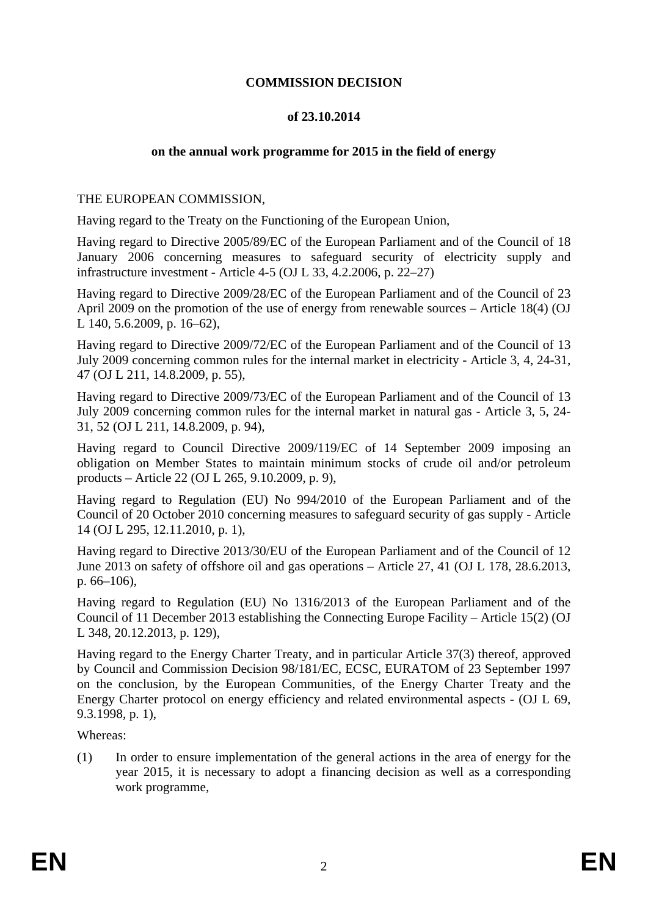### **COMMISSION DECISION**

### **of 23.10.2014**

### **on the annual work programme for 2015 in the field of energy**

### THE EUROPEAN COMMISSION,

Having regard to the Treaty on the Functioning of the European Union,

Having regard to Directive 2005/89/EC of the European Parliament and of the Council of 18 January 2006 concerning measures to safeguard security of electricity supply and infrastructure investment - Article 4-5 (OJ L 33, 4.2.2006, p. 22–27)

Having regard to Directive 2009/28/EC of the European Parliament and of the Council of 23 April 2009 on the promotion of the use of energy from renewable sources – Article 18(4) (OJ L 140, 5.6.2009, p. 16–62),

Having regard to Directive 2009/72/EC of the European Parliament and of the Council of 13 July 2009 concerning common rules for the internal market in electricity - Article 3, 4, 24-31, 47 (OJ L 211, 14.8.2009, p. 55),

Having regard to Directive 2009/73/EC of the European Parliament and of the Council of 13 July 2009 concerning common rules for the internal market in natural gas - Article 3, 5, 24- 31, 52 (OJ L 211, 14.8.2009, p. 94),

Having regard to Council Directive 2009/119/EC of 14 September 2009 imposing an obligation on Member States to maintain minimum stocks of crude oil and/or petroleum products – Article 22 (OJ L 265, 9.10.2009, p. 9),

Having regard to Regulation (EU) No 994/2010 of the European Parliament and of the Council of 20 October 2010 concerning measures to safeguard security of gas supply - Article 14 (OJ L 295, 12.11.2010, p. 1),

Having regard to Directive 2013/30/EU of the European Parliament and of the Council of 12 June 2013 on safety of offshore oil and gas operations – Article 27, 41 (OJ L 178, 28.6.2013, p. 66–106),

Having regard to Regulation (EU) No 1316/2013 of the European Parliament and of the Council of 11 December 2013 establishing the Connecting Europe Facility – Article 15(2) (OJ L 348, 20.12.2013, p. 129),

Having regard to the Energy Charter Treaty, and in particular Article 37(3) thereof, approved by Council and Commission Decision 98/181/EC, ECSC, EURATOM of 23 September 1997 on the conclusion, by the European Communities, of the Energy Charter Treaty and the Energy Charter protocol on energy efficiency and related environmental aspects - (OJ L 69, 9.3.1998, p. 1),

Whereas:

(1) In order to ensure implementation of the general actions in the area of energy for the year 2015, it is necessary to adopt a financing decision as well as a corresponding work programme,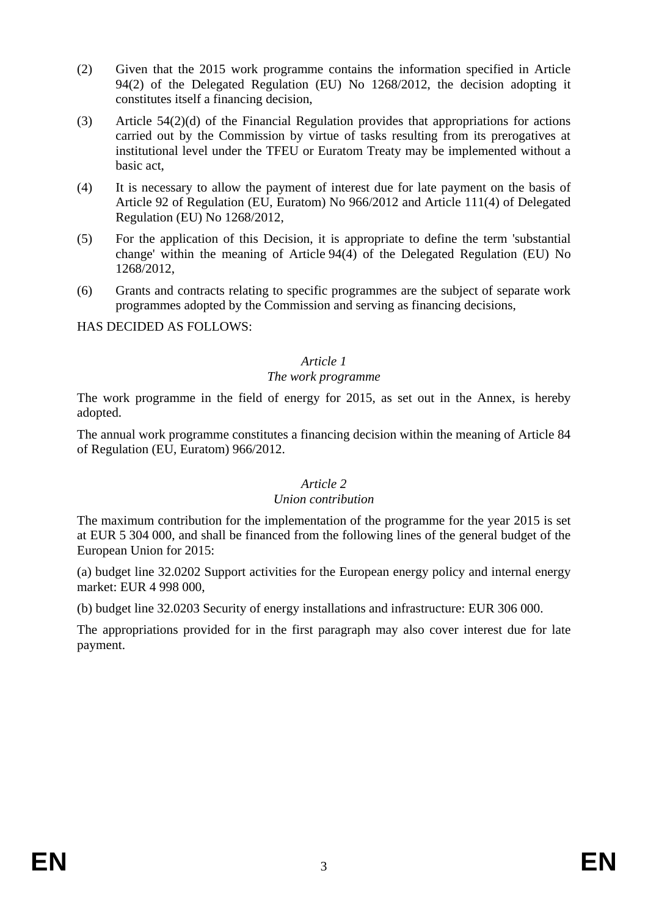- (2) Given that the 2015 work programme contains the information specified in Article 94(2) of the Delegated Regulation (EU) No 1268/2012, the decision adopting it constitutes itself a financing decision,
- (3) Article 54(2)(d) of the Financial Regulation provides that appropriations for actions carried out by the Commission by virtue of tasks resulting from its prerogatives at institutional level under the TFEU or Euratom Treaty may be implemented without a basic act,
- (4) It is necessary to allow the payment of interest due for late payment on the basis of Article 92 of Regulation (EU, Euratom) No 966/2012 and Article 111(4) of Delegated Regulation (EU) No 1268/2012,
- (5) For the application of this Decision, it is appropriate to define the term 'substantial change' within the meaning of Article 94(4) of the Delegated Regulation (EU) No 1268/2012,
- (6) Grants and contracts relating to specific programmes are the subject of separate work programmes adopted by the Commission and serving as financing decisions,

HAS DECIDED AS FOLLOWS:

## *Article 1*

#### *The work programme*

The work programme in the field of energy for 2015, as set out in the Annex, is hereby adopted.

The annual work programme constitutes a financing decision within the meaning of Article 84 of Regulation (EU, Euratom) 966/2012.

### *Article 2*

#### *Union contribution*

The maximum contribution for the implementation of the programme for the year 2015 is set at EUR 5 304 000, and shall be financed from the following lines of the general budget of the European Union for 2015:

(a) budget line 32.0202 Support activities for the European energy policy and internal energy market: EUR 4 998 000,

(b) budget line 32.0203 Security of energy installations and infrastructure: EUR 306 000.

The appropriations provided for in the first paragraph may also cover interest due for late payment.